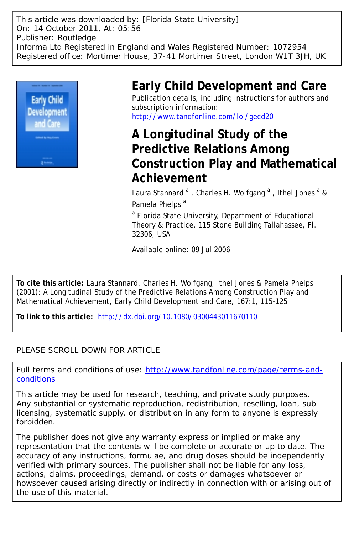This article was downloaded by: [Florida State University] On: 14 October 2011, At: 05:56 Publisher: Routledge Informa Ltd Registered in England and Wales Registered Number: 1072954 Registered office: Mortimer House, 37-41 Mortimer Street, London W1T 3JH, UK



# **Early Child Development and Care**

Publication details, including instructions for authors and subscription information: <http://www.tandfonline.com/loi/gecd20>

## **A Longitudinal Study of the Predictive Relations Among Construction Play and Mathematical Achievement**

Laura Stannard <sup>a</sup>, Charles H. Wolfgang <sup>a</sup>, Ithel Jones <sup>a</sup> & Pamela Phelps<sup>a</sup>

<sup>a</sup> Florida State University, Department of Educational Theory & Practice, 115 Stone Building Tallahassee, Fl. 32306, USA

Available online: 09 Jul 2006

**To cite this article:** Laura Stannard, Charles H. Wolfgang, Ithel Jones & Pamela Phelps (2001): A Longitudinal Study of the Predictive Relations Among Construction Play and Mathematical Achievement, Early Child Development and Care, 167:1, 115-125

**To link to this article:** <http://dx.doi.org/10.1080/0300443011670110>

### PLEASE SCROLL DOWN FOR ARTICLE

Full terms and conditions of use: [http://www.tandfonline.com/page/terms-and](http://www.tandfonline.com/page/terms-and-conditions)[conditions](http://www.tandfonline.com/page/terms-and-conditions)

This article may be used for research, teaching, and private study purposes. Any substantial or systematic reproduction, redistribution, reselling, loan, sublicensing, systematic supply, or distribution in any form to anyone is expressly forbidden.

The publisher does not give any warranty express or implied or make any representation that the contents will be complete or accurate or up to date. The accuracy of any instructions, formulae, and drug doses should be independently verified with primary sources. The publisher shall not be liable for any loss, actions, claims, proceedings, demand, or costs or damages whatsoever or howsoever caused arising directly or indirectly in connection with or arising out of the use of this material.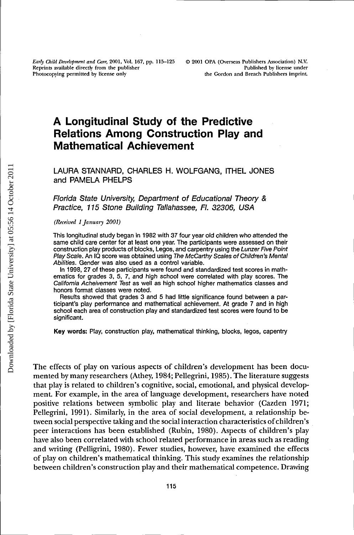*Early Child Development and Care,* 2001, Vol. 167, pp. 115-125 Reprints available directly from the publisher Photocopying permitted by license only

### **A Longitudinal Study of the Predictive Relations Among Construction Play and Mathematical Achievement**

LAURA STANNARD, CHARLES H. WOLFGANG, ITHEL JONES and PAMELA PHELPS

Florida State University, Department of Educational Theory & Practice, 115 Stone Building Tallahassee, Fl. 32306, USA

*(Received 1 January 2001)*

This longitudinal study began in 1982 with 37 four year old children who attended the same child care center for at least one year. The participants were assessed on their construction play products of blocks, Legos, and carpentry using the Lunzer Five Point Play Scale. An IQ score was obtained using The McCarthy Scales of Children's Mental Abilities. Gender was also used as a control variable.

In 1998, 27 of these participants were found and standardized test scores in mathematics for grades 3, 5, 7, and high school were correlated with play scores. The California Acheivement Test as well as high school higher mathematics classes and honors format classes were noted.

Results showed that grades 3 and 5 had little significance found between a participant's play performance and mathematical achievement. At grade 7 and in high school each area of construction play and standardized test scores were found to be significant.

**Key words:** Play, construction play, mathematical thinking, blocks, legos, capentry

The effects of play on various aspects of children's development has been documented by many researchers (Athey, 1984; Pellegrini, 1985). The literature suggests that play is related to children's cognitive, social, emotional, and physical development. For example, in the area of language development, researchers have noted positive relations between symbolic play and literate behavior (Cazden 1971; Pellegrini, 1991). Similarly, in the area of social development, a relationship between social perspective taking and the social interaction characteristics of children's peer interactions has been established (Rubin, 1980). Aspects of children's play have also been correlated with school related performance in areas such as reading and writing (Pelligrini, 1980). Fewer studies, however, have examined the effects of play on children's mathematical thinking. This study examines the relationship between children's construction play and their mathematical competence. Drawing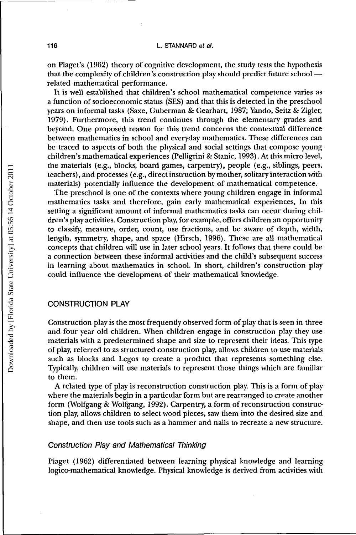on Piaget's (1962) theory of cognitive development, the study tests the hypothesis that the complexity of children's construction play should predict future school related mathematical performance.

It is well established that children's school mathematical competence varies as a function of socioeconomic status (SES) and that this is detected in the preschool years on informal tasks (Saxe, Guberman & Gearhart, 1987; Yando, Seitz & Zigler, 1979). Furthermore, this trend continues through the elementary grades and beyond. One proposed reason for this trend concerns the contextual difference between mathematics in school and everyday mathematics. These differences can be traced to aspects of both the physical and social settings that compose young children's mathematical experiences (Pelligrini & Stanic, 1993). At this micro level, the materials (e.g., blocks, board games, carpentry), people (e.g., siblings, peers, teachers), and processes (e.g., direct instruction by mother, solitary interaction with materials) potentially influence the development of mathematical competence.

The preschool is one of the contexts where young children engage in informal mathematics tasks and therefore, gain early mathematical experiences, In this setting a significant amount of informal mathematics tasks can occur during children's play activities. Construction play, for example, offers children an opportunity to classify, measure, order, count, use fractions, and be aware of depth, width, length, symmetry, shape, and space (Hirsch, 1996). These are all mathematical concepts that children will use in later school years. It follows that there could be a connection between these informal activities and the child's subsequent success in learning about mathematics in school. In short, children's construction play could influence the development of their mathematical knowledge.

#### CONSTRUCTION PLAY

Construction play is the most frequently observed form of play that is seen in three and four year old children. When children engage in construction play they use materials with a predetermined shape and size to represent their ideas. This type of play, referred to as structured construction play, allows children to use materials such as blocks and Legos to create a product that represents something else. Typically, children will use materials to represent those things which are familiar to them.

A related type of play is reconstruction construction play. This is a form of play where the materials begin in a particular form but are rearranged to create another form (Wolfgang & Wolfgang, 1992). Carpentry, a form of reconstruction construction play, allows children to select wood pieces, saw them into the desired size and shape, and then use tools such as a hammer and nails to recreate a new structure.

#### Construction Play and Mathematical Thinking

Piaget (1962) differentiated between learning physical knowledge and learning logico-mathematical knowledge. Physical knowledge is derived from activities with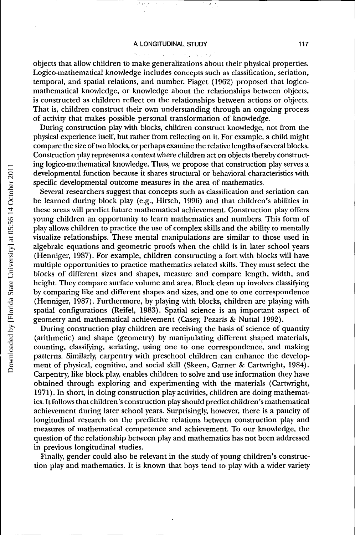$\epsilon^{-1}$  , the case

objects that allow children to make generalizations about their physical properties. Logico-mathematical knowledge includes concepts such as classification, seriation, temporal, and spatial relations, and number. Piaget (1962) proposed that logicomathematical knowledge, or knowledge about the relationships between objects, is constructed as children reflect on the relationships between actions or objects. That is, children construct their own understanding through an ongoing process of activity that makes possible personal transformation of knowledge.

During construction play with blocks, children construct knowledge, not from the physical experience itself, but rather from reflecting on it. For example, a child might compare the size of two blocks, or perhaps examine the relative lengths of several blocks. Construction play represents a context where children act on objects thereby constructing logico-mathematical knowledge. Thus, we propose that construction play serves a developmental function because it shares structural or behavioral characteristics with specific developmental outcome measures in the area of mathematics.

Several researchers suggest that concepts such as classification and seriation can be learned during block play (e.g., Hirsch, 1996) and that children's abilities in these areas will predict future mathematical achievement. Construction play offers young children an opportunity to learn mathematics and numbers. This form of play allows children to practice the use of complex skills and the ability to mentally visualize relationships. These mental manipulations are similar to those used in algebraic equations and geometric proofs when the child is in later school years (Henniger, 1987). For example, children constructing a fort with blocks will have multiple opportunities to practice mathematics related skills. They must select the blocks of different sizes and shapes, measure and compare length, width, and height. They compare surface volume and area. Block clean up involves classifying by comparing like and different shapes and sizes, and one to one correspondence (Henniger, 1987). Furthermore, by playing with blocks, children are playing with spatial configurations (Reifel, 1983). Spatial science is an important aspect of geometry and mathematical achievement (Casey, Pezaris *8c* Nuttal 1992).

During construction play children are receiving the basis of science of quantity (arithmetic) and shape (geometry) by manipulating different shaped materials, counting, classifying, seriating, using one to one correspondence, and making patterns. Similarly, carpentry with preschool children can enhance the development of physical, cognitive, and social skill (Skeen, Garner & Cartwright, 1984). Carpentry, like block play, enables children to solve and use information they have obtained through exploring and experimenting with the materials (Cartwright, 1971). In short, in doing construction play activities, children are doing mathematics. It follows that children's construction play should predict children's mathematical achievement during later school years. Surprisingly, however, there is a paucity of longitudinal research on the predictive relations between construction play and measures of mathematical competence and achievement. To our knowledge, the question of the relationship between play and mathematics has not been addressed in previous longitudinal studies.

Finally, gender could also be relevant in the study of young children's construction play and mathematics. It is known that boys tend to play with a wider variety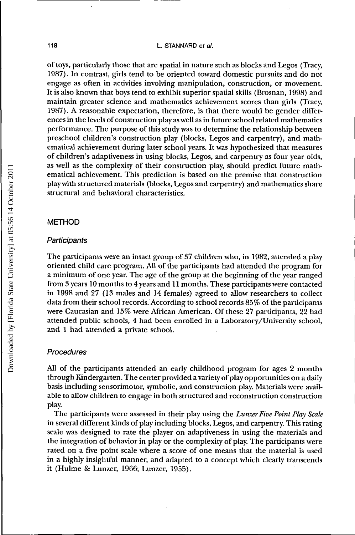of toys, particularly those that are spatial in nature such as blocks and Legos (Tracy, 1987). In contrast, girls tend to be oriented toward domestic pursuits and do not engage as often in activities involving manipulation, construction, or movement. It is also known that boys tend to exhibit superior spatial skills (Brosnan, 1998) and maintain greater science and mathematics achievement scores than girls (Tracy, 1987). A reasonable expectation, therefore, is that there would be gender differences in the levels of construction play as well as in future school related mathematics performance. The purpose of this study was to determine the relationship between preschool children's construction play (blocks, Legos and carpentry), and mathematical achievement during later school years. It was hypothesized that measures of children's adaptiveness in using blocks, Legos, and carpentry as four year olds, as well as the complexity of their construction play, should predict future mathematical achievement. This prediction is based on the premise that construction play with structured materials (blocks, Legos and carpentry) and mathematics share structural and behavioral characteristics.

#### METHOD

#### **Participants**

The participants were an intact group of 37 children who, in 1982, attended a play oriented child care program. All of the participants had attended the program for a minimum of one year. The age of the group at the beginning of the year ranged from 3 years 10 months to 4 years and 11 months. These participants were contacted in 1998 and 27 (13 males and 14 females) agreed to allow researchers to collect data from their school records. According to school records 85% of the participants were Caucasian and 15% were African American. Of these 27 participants, 22 had attended public schools, 4 had been enrolled in a Laboratory/University school, and 1 had attended a private school.

#### Procedures

All of the participants attended an early childhood program for ages 2 months through Kindergarten. The center provided a variety of play opportunities on a daily basis including sensorimotor, symbolic, and construction play. Materials were available to allow children to engage in both structured and reconstruction construction play.

The participants were assessed in their play using the *LunzerFive Point Play Scale* in several different kinds of play including blocks, Legos, and carpentry. This rating scale was designed to rate the player on adaptiveness in using the materials and the integration of behavior in play or the complexity of play. The participants were rated on a five point scale where a score of one means that the material is used in a highly insightful manner, and adapted to a concept which clearly transcends it (Hulme & Lunzer, 1966; Lunzer, 1955).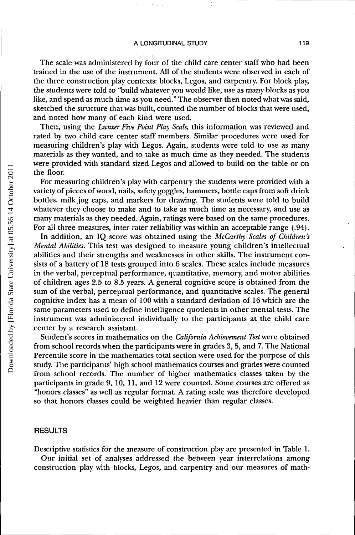The scale was administered by four of the child care center staff who had been trained in the use of the instrument. All of the students were observed in each of the three construction play contexts: blocks, Legos, and carpentry. For block play, the students were told to "build whatever you would like, use as many blocks as you like, and spend as much time as you need." The observer then noted what was said, sketched the structure that was built, counted the number of blocks that were used, and noted how many of each kind were used.

Then, using the *Lunzer Five Point Play Scale,* this information was reviewed and rated by two child care center staff members. Similar procedures were used for measuring children's play with Legos. Again, students were told to use as many materials as they wanted, and to take as much time as they needed. The students were provided with standard sized Legos and allowed to build on the table or on the floor.

For measuring children's play with carpentry the students were provided with a variety of pieces of wood, nails, safety goggles, hammers, bottle caps from soft drink bottles, milk jug caps, and markers for drawing. The students were told to build whatever they choose to make and to take as much time as necessary, and use as many materials as they needed. Again, ratings were based on the same procedures. For all three measures, inter rater reliability was within an acceptable range (.94).

In addition, an IQ score was obtained using the *McCarthy Scales of Children's Mental Abilities.* This test was designed to measure young children's intellectual abilities and their strengths and weaknesses in other skills. The instrument consists of a battery of 18 tests grouped into 6 scales. These scales include measures in the verbal, perceptual performance, quantitative, memory, and motor abilities of children ages 2.5 to 8.5 years. A general cognitive score is obtained from the sum of the verbal, perceptual performance, and quantitative scales. The general cognitive index has a mean of 100 with a standard deviation of 16 which are the same parameters used to define intelligence quotients in other mental tests. The instrument was administered individually to the participants at the child care center by a research assistant.

Student's scores in mathematics on the *California Achievement Test were* obtained from school records when the participants were in grades 3, 5, and 7. The National Percentile score in the mathematics total section were used for the purpose of this study. The participants' high school mathematics courses and grades were counted from school records. The number of higher mathematics classes taken by the participants in grade 9, 10, 11, and 12 were counted. Some courses are offered as "honors classes" as well as regular format. A rating scale was therefore developed so that honors classes could be weighted heavier than regular classes.

#### RESULTS

Descriptive statistics for the measure of construction play are presented in Table 1.

Our initial set of analyses addressed the between year interrelations among construction play with blocks, Legos, and carpentry and our measures of math-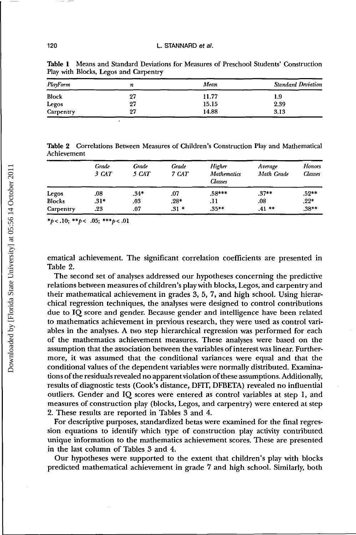| PlayForm     | n  | Mean  | <b>Standard Deviation</b> |  |
|--------------|----|-------|---------------------------|--|
| <b>Block</b> | 27 | 11.77 | 1.9                       |  |
| Legos        | 27 | 15.15 | 2.39                      |  |
| Carpentry    | 27 | 14.88 | 3.13                      |  |

Table 1 Means and Standard Deviations for Measures of Preschool Students Construction Play with Blocks, Legos and Carpentry

Table 2 Correlations Between Measures of Children's Construction Play and Mathematical Achievement

|               | Grade<br>3 <sub>AT</sub> | Grade<br>5 CAT | Grade<br>7 CAT | Higher<br><b>Mathematics</b><br><b>Classes</b> | Average<br>Math Grade | <b>Honors</b><br><b>Classes</b> |
|---------------|--------------------------|----------------|----------------|------------------------------------------------|-----------------------|---------------------------------|
| Legos         | .08                      | $.34*$         | .07            | $.58***$                                       | $.37**$               | .52**                           |
| <b>Blocks</b> | $.31*$                   | .03            | $.28*$         | .11                                            | .08                   | $.22*$                          |
| Carpentry     | .23                      | .07            | $.31*$         | $.35**$                                        | $.41**$               | $.38**$                         |

 $*_{p<.10;}$   $*_{p<.05;}$   $*_{p<.01}$ 

ematical achievement. The significant correlation coefficients are presented in Table 2.

The second set of analyses addressed our hypotheses concerning the predictive relations between measures of children's play with blocks, Legos, and carpentry and their mathematical achievement in grades 3, 5, 7, and high school. Using hierarchical regression techniques, the analyses were designed to control contributions due to IQ score and gender. Because gender and intelligence have been related to mathematics achievement in previous research, they were used as control variables in the analyses. A two step hierarchical regression was performed for each of the mathematics achievement measures. These analyses were based on the assumption that the association between the variables of interest was linear. Furthermore, it was assumed that the conditional variances were equal and that the conditional values of the dependent variables were normally distributed. Examinations of the residuals revealed no apparent violation of diese assumptions. Additionally, results of diagnostic tests (Cook's distance, DFIT, DFBETA) revealed no influential outliers. Gender and IQ scores were entered as control variables at step 1, and measures of construction play (blocks, Legos, and carpentry) were entered at step 2. These results are reported in Tables 3 and 4.

For descriptive purposes, standardized betas were examined for the final regression equations to identify which type of construction play activity contributed unique information to the mathematics achievement scores. These are presented in the last column of Tables 3 and 4.

Our hypotheses were supported to the extent that children's play with blocks predicted mathematical achievement in grade 7 and high school. Similarly, both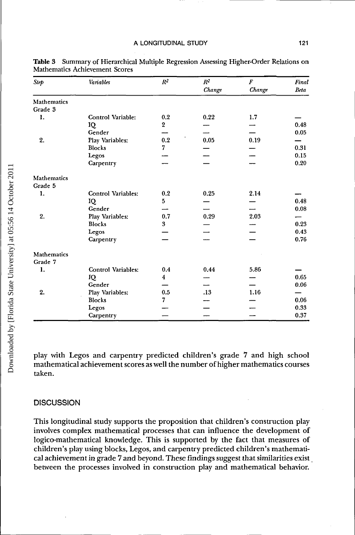| <b>Step</b>        | <b>Variables</b>   | $R^2$        | $R^2$  | F      | Final       |
|--------------------|--------------------|--------------|--------|--------|-------------|
|                    |                    |              | Change | Change | <b>Beta</b> |
| <b>Mathematics</b> |                    |              |        |        |             |
| Grade 3            |                    |              |        |        |             |
| 1.                 | Control Variable:  | 0.2          | 0.22   | 1.7    |             |
|                    | IQ                 | $\mathbf{2}$ |        |        | 0.48        |
|                    | Gender             |              |        |        | 0.05        |
| 2.                 | Play Variables:    | 0.2          | 0.05   | 0.19   |             |
|                    | <b>Blocks</b>      | 7            |        |        | 0.31        |
|                    | Legos              |              |        |        | 0.15        |
|                    | Carpentry          |              |        |        | 0.20        |
| Mathematics        |                    |              |        |        |             |
| Grade 5            |                    |              |        |        |             |
| 1.                 | Control Variables: | 0.2          | 0.25   | 2.14   |             |
|                    | IQ                 | 5            |        |        | 0.48        |
|                    | Gender             |              |        |        | 0.08        |
| 2.                 | Play Variables:    | 0.7          | 0.29   | 2.03   |             |
|                    | <b>Blocks</b>      | 3            |        |        | 0.23        |
|                    | Legos              |              |        |        | 0.43        |
|                    | Carpentry          |              |        |        | 0.76        |
| <b>Mathematics</b> |                    |              |        |        |             |
| Grade 7            |                    |              |        |        |             |
| 1.                 | Control Variables: | 0.4          | 0.44   | 5.86   |             |
|                    | IQ                 | 4            |        |        | 0.65        |
|                    | Gender             |              |        |        | 0.06        |
| 2.                 | Play Variables:    | 0.5          | .13    | 1.16   |             |
|                    | <b>Blocks</b>      | 7            |        |        | 0.06        |
|                    | Legos              |              |        |        | 0.33        |
|                    | Carpentry          |              |        |        | 0.37        |

**Table** 3 Summary of Hierarchical Multiple Regression Assessing Higher-Order Relations on Mathematics Achievement Scores

play with Legos and carpentry predicted children's grade 7 and high school mathematical achievement scores as well the number of higher mathematics courses taken.

#### **DISCUSSION**

This longitudinal study supports the proposition that children's construction play involves complex mathematical processes that can influence the development of logico-mathematical knowledge. This is supported by the fact that measures of children's play using blocks, Legos, and carpentry predicted children's mathematical achievement in grade 7 and beyond. These findings suggest that similarities exist between the processes involved in construction play and mathematical behavior.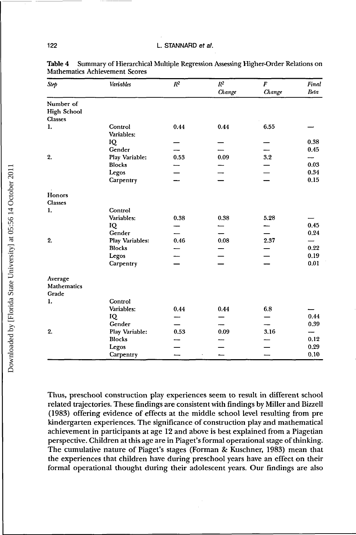| <b>Step</b>                     | <b>Variables</b>      | $R^2$ | $R^2$  | F      | Final       |
|---------------------------------|-----------------------|-------|--------|--------|-------------|
|                                 |                       |       | Change | Change | <b>Beta</b> |
| Number of<br><b>High School</b> |                       |       |        |        |             |
| <b>Classes</b>                  |                       |       |        |        |             |
| 1.                              | Control<br>Variables: | 0.44  | 0.44   | 6.55   |             |
|                                 | IQ                    |       |        |        | 0.38        |
|                                 | Gender                |       |        |        | 0.45        |
| 2.                              | Play Variable:        | 0.53  | 0.09   | 3.2    |             |
|                                 | <b>Blocks</b>         |       |        |        | 0.03        |
|                                 | Legos                 |       |        |        | 0.34        |
|                                 | Carpentry             |       |        |        | 0.15        |
| Honors                          |                       |       |        |        |             |
| <b>Classes</b>                  |                       |       |        |        |             |
| 1.                              | Control               |       |        |        |             |
|                                 | Variables:            | 0.38  | 0.38   | 5.28   |             |
|                                 | IQ                    |       |        |        | 0.45        |
|                                 | Gender                |       |        |        | 0.24        |
| 2.                              | Play Variables:       | 0.46  | 0.08   | 2.37   |             |
|                                 | <b>Blocks</b>         |       |        |        | 0.22        |
|                                 | Legos                 |       |        |        | 0.19        |
|                                 | Carpentry             |       |        |        | 0.01        |
| Average                         |                       |       |        |        |             |
| Mathematics                     |                       |       |        |        |             |
| Grade                           |                       |       |        |        |             |
| 1.                              | Control               |       |        |        |             |
|                                 | Variables:            | 0.44  | 0.44   | 6.8    |             |
|                                 | IQ                    |       |        |        | 0.44        |
|                                 | Gender                |       |        |        | 0.39        |
| 2.                              | Play Variable:        | 0.53  | 0.09   | 3.16   |             |
|                                 | <b>Blocks</b>         |       |        |        | 0.12        |
|                                 | Legos                 |       |        |        | 0.29        |
|                                 | Carpentry             |       |        |        | 0.10        |

**Table 4** Summary of Hierarchical Multiple Regression Assessing Higher-Order Relations on Mathematics Achievement Scores

Thus, preschool construction play experiences seem to result in different school related trajectories. These findings are consistent with findings by Miller and Bizzell (1983) offering evidence of effects at the middle school level resulting from pre kindergarten experiences. The significance of construction play and mathematical achievement in participants at age 12 and above is best explained from a Piagetian perspective. Children at this age are in Piaget's formal operational stage of thinking. The cumulative nature of Piaget's stages (Forman & Kuschner, 1983) mean that the experiences that children have during preschool years have an effect on their formal operational thought during their adolescent years. Our findings are also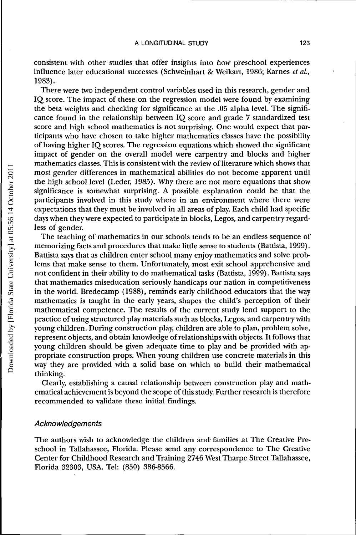consistent with other studies that offer insights into how preschool experiences influence later educational successes (Schweinhart & Weikart, 1986; Karnes *et al,* 1983).

There were two independent control variables used in this research, gender and IQ score. The impact of these on the regression model were found by examining the beta weights and checking for significance at the .05 alpha level. The significance found in the relationship between IQ score and grade 7 standardized test score and high school mathematics is not surprising. One would expect that participants who have chosen to take higher mathematics classes have the possibility of having higher IQ scores. The regression equations which showed the significant impact of gender on the overall model were carpentry and blocks and higher mathematics classes. This is consistent with the review of literature which shows that most gender differences in mathematical abilities do not become apparent until the high school level (Leder, 1985). Why there are not more equations that show significance is somewhat surprising. A possible explanation could be that the participants involved in this study where in an environment where there were expectations that they must be involved in all areas of play. Each child had specific days when they were expected to participate in blocks, Legos, and carpentry regardless of gender.

The teaching of mathematics in our schools tends to be an endless sequence of memorizing facts and procedures that make little sense to students (Battista, 1999). Battista says that as children enter school many enjoy mathematics and solve problems that make sense to them. Unfortunately, most exit school apprehensive and not confident in their ability to do mathematical tasks (Battista, 1999). Battista says that mathematics miseducation seriously handicaps our nation in competitiveness in the world. Bredecamp (1988), reminds early childhood educators that the way mathematics is taught in the early years, shapes the child's perception of their mathematical competence. The results of the current study lend support to the practice of using structured play materials such as blocks, Legos, and carpentry with young children. During construction play, children are able to plan, problem solve, represent objects, and obtain knowledge of relationships with objects. It follows that young children should be given adequate time to play and be provided with appropriate construction props. When young children use concrete materials in this way they are provided with a solid base on which to build their mathematical thinking.

Clearly, establishing a causal relationship between construction play and mathematical achievement is beyond the scope of this study. Further research is therefore recommended to validate these initial findings.

#### Acknowledgements

The authors wish to acknowledge the children and families at The Creative Preschool in Tallahassee, Florida. Please send any correspondence to The Creative Center for Childhood Research and Training 2746 West Tharpe Street Tallahassee, Florida 32303, USA. Tel: (850) 386-8566.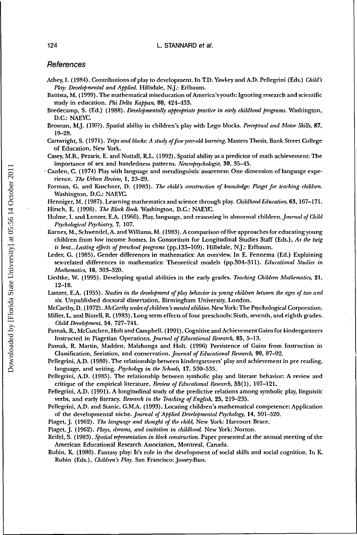#### References

- Athey, I. (1984). Contributions of play to development. In T.D. Yawkey and A.D. Pellegrini (Eds.) *Child's Play: Developmental and Applied.* Hillsdale, N.J.: Erlbaum.
- Battista, M. (1999). The mathematical miseducation of America's youth: Ignoring research and scientific study in education. *Phi Delta Kappan,* 80, 424-433.
- Bredecamp, S. (Ed.) (1988). *Developmentally appropriate practice in early childhood programs.* Washington, D.C.: NAEYC.
- Brosnan, M.J. (19??). Spatial ability in children's play with Lego blocks. *Perceptual and Motor Skills,* 87, 19-28.
- Cartwright, S. (1971). *Trips and blocks: A study of Jive year-old learning.* Masters Thesis, Bank Street College of Education, New York.
- Casey, M.B., Pezaris, E. and Nuttall, R.L. (1992). Spatial ability as a predictor of math achievement: The importance of sex and handedness patterns. *Neuropsychologia,* 30, 35-45.
- Cazden, C. (1974) Play with language and metalinguistic awareness: One dimension of language experience. *The Urban Review,* 1, 23-29.
- Forman, G. and Kuschner, D. (1983). *The child's construction of knowledge: Piaget for teaching children.* Washington, D.C.: NAEYC.
- Henniger, M. (1987). Learning mathematics and science through play. *Childhood Education,* 63, 167-171. Hirsch, E. (1996). *The Block Book.* Washington, D.C.: NAEYC.
- Hulme, I. and Lunzer, EA. (1966). Play, language, and reasoning in abnormal children. *Journal of Child Psychological Psychiatry,* 7, 107.
- Karnes, M., Schwendel, A. and Williams, M. (1983). A comparison of five approaches for educating young children from low income homes. In Consortium for Longitudinal Studies Staff (Eds.), *As the twig is bent...Lasting effects of preschool programs* (pp.133-169). Hillsdale, N.J.: Erlbaum.
- Leder, G. (1985). Gender differences in mathematics: An overview. In E. Fennema (Ed.) Explaining sex-related differences in mathematics: Theoretical models (pp.304-311). *Educational Studies in Mathematics,* 16, 303-320.
- Liedtke, W. (1995). Developing spatial abilities in the early grades. *Teaching Children Mathematics,* 21, 12-18.
- Lunzer, EA. (1955). *Studies in the development of play behavior in young children between the ages of two and six.* Unpublished doctoral dissertation, Birmingham University, London.
- McCarthy, D. (1972). *McCarthy scales of children's mental abilities.* New York: The Psychological Corporation.
- Miller, L. and Bizzell, R. (1983). Long term effects of four preschools: Sixth, seventh, and eighth grades. *Child Development,* 54, 727-741.
- Pasnak, R., McCutchen, Holt and Campbell. (1991). Cognitive and Achievement Gains for kindergartners Instructed in Piagetian Operations. *Journal of Educational Research,* 85, 5–13.
- Pasnak, R. Martin, Madden, Malabonga and Holt. (1996) Persistence of Gains from Instruction in Classification, Seriation, and conservation. *Journal of Educational Research,* 90, 87–92.
- Pellegrini, A.D. (1980). The relationship between kindergartners' play and achievement in pre reading, language, and writing. *Psychology in the Schools,* 17, 530-535.
- Pellegrini, A.D. (1985). The relationship between symbolic play and literate behavior: A review and critique of the empirical literature. *Review of Educational Research,* 55(1), 107-121.
- Pellegrini, A.D. (1991). A longitudinal study of the predictive relations among symbolic play, linguistic verbs, and early literacy. *Research in the Teaching of English,* 25, 219-235.
- Pellegrini, A.D. and Stanic, G.M.A. (1993). Locating children's mathematical competence: Application of the developmental niche. *Journal of Applied Developmental Psychology,* 14, 501-520.
- Piaget, J. (1962). *The language and thought of the child,* New York: Harcourt Brace.
- Piaget, J. (1962). *Plays, dreams, and imitation in childhood.* New York: Norton.
- Reifel, S. (1983). *Spatial representation in block construction.* Paper presented at the annual meeting of the American Educational Research Association, Montreal, Canada.
- Rubin, K. (1980). Fantasy play: It's role in the development of social skills and social cognition. In K. Rubin (Eds.), *Children's Play.* San Francisco: Jossey-Bass.